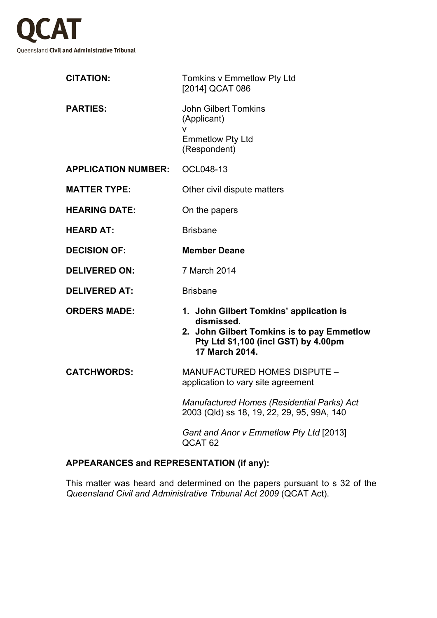

| <b>CITATION:</b>           | Tomkins v Emmetlow Pty Ltd<br>[2014] QCAT 086                                                                                                                 |
|----------------------------|---------------------------------------------------------------------------------------------------------------------------------------------------------------|
| <b>PARTIES:</b>            | <b>John Gilbert Tomkins</b><br>(Applicant)<br>v<br><b>Emmetlow Pty Ltd</b><br>(Respondent)                                                                    |
| <b>APPLICATION NUMBER:</b> | OCL048-13                                                                                                                                                     |
| <b>MATTER TYPE:</b>        | Other civil dispute matters                                                                                                                                   |
| <b>HEARING DATE:</b>       | On the papers                                                                                                                                                 |
| <b>HEARD AT:</b>           | <b>Brisbane</b>                                                                                                                                               |
| <b>DECISION OF:</b>        | <b>Member Deane</b>                                                                                                                                           |
| <b>DELIVERED ON:</b>       | 7 March 2014                                                                                                                                                  |
| <b>DELIVERED AT:</b>       | <b>Brisbane</b>                                                                                                                                               |
| <b>ORDERS MADE:</b>        | 1. John Gilbert Tomkins' application is<br>dismissed.<br>2. John Gilbert Tomkins is to pay Emmetlow<br>Pty Ltd \$1,100 (incl GST) by 4.00pm<br>17 March 2014. |
| <b>CATCHWORDS:</b>         | <b>MANUFACTURED HOMES DISPUTE -</b><br>application to vary site agreement                                                                                     |
|                            | <b>Manufactured Homes (Residential Parks) Act</b><br>2003 (Qld) ss 18, 19, 22, 29, 95, 99A, 140                                                               |
|                            | Gant and Anor v Emmetlow Pty Ltd [2013]<br>QCAT <sub>62</sub>                                                                                                 |

## **APPEARANCES and REPRESENTATION (if any):**

This matter was heard and determined on the papers pursuant to s 32 of the *Queensland Civil and Administrative Tribunal Act 2009* (QCAT Act).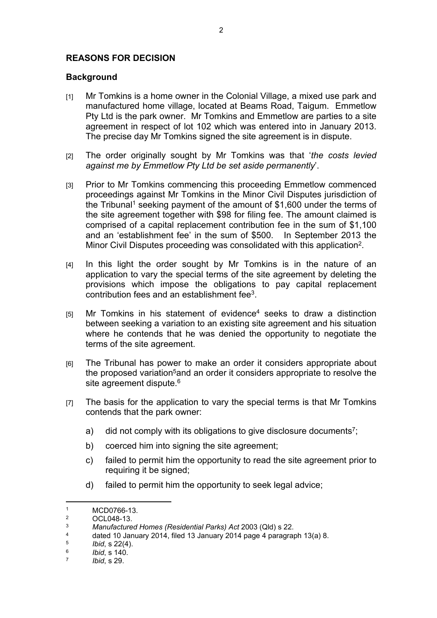## **REASONS FOR DECISION**

## **Background**

- [1] Mr Tomkins is a home owner in the Colonial Village, a mixed use park and manufactured home village, located at Beams Road, Taigum. Emmetlow Pty Ltd is the park owner. Mr Tomkins and Emmetlow are parties to a site agreement in respect of lot 102 which was entered into in January 2013. The precise day Mr Tomkins signed the site agreement is in dispute.
- [2] The order originally sought by Mr Tomkins was that '*the costs levied against me by Emmetlow Pty Ltd be set aside permanently*'.
- [3] Prior to Mr Tomkins commencing this proceeding Emmetlow commenced proceedings against Mr Tomkins in the Minor Civil Disputes jurisdiction of the Tribunal<sup>1</sup> seeking payment of the amount of \$1,600 under the terms of the site agreement together with \$98 for filing fee. The amount claimed is comprised of a capital replacement contribution fee in the sum of \$1,100 and an 'establishment fee' in the sum of \$500. In September 2013 the Minor Civil Disputes proceeding was consolidated with this application<sup>2</sup> .
- [4] In this light the order sought by Mr Tomkins is in the nature of an application to vary the special terms of the site agreement by deleting the provisions which impose the obligations to pay capital replacement contribution fees and an establishment fee<sup>3</sup>.
- [5] Mr Tomkins in his statement of evidence<sup>4</sup> seeks to draw a distinction between seeking a variation to an existing site agreement and his situation where he contends that he was denied the opportunity to negotiate the terms of the site agreement.
- [6] The Tribunal has power to make an order it considers appropriate about the proposed variation<sup>5</sup>and an order it considers appropriate to resolve the site agreement dispute.<sup>6</sup>
- [7] The basis for the application to vary the special terms is that Mr Tomkins contends that the park owner:
	- a) did not comply with its obligations to give disclosure documents<sup>7</sup>;
	- b) coerced him into signing the site agreement:
	- c) failed to permit him the opportunity to read the site agreement prior to requiring it be signed;
	- d) failed to permit him the opportunity to seek legal advice;

<sup>1</sup> MCD0766-13.

 $\mathfrak{p}$  $\frac{2}{3}$  OCL048-13.

<sup>3</sup> *Manufactured Homes (Residential Parks) Act* 2003 (Qld) s 22.

<sup>4</sup> dated 10 January 2014, filed 13 January 2014 page 4 paragraph 13(a) 8.

<sup>5</sup> *Ibid*, s 22(4).

<sup>6</sup> *Ibid*, s 140.

<sup>7</sup> *Ibid*, s 29.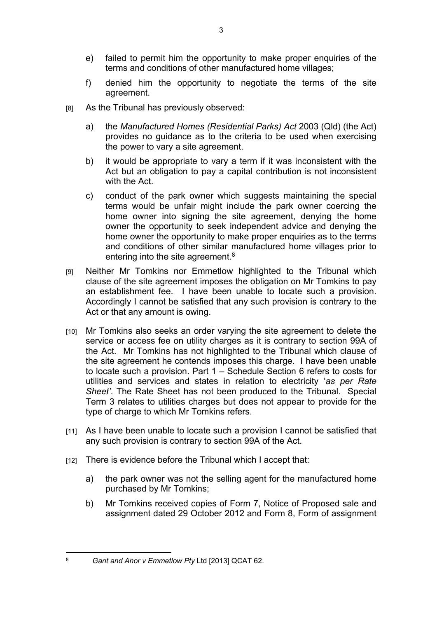- e) failed to permit him the opportunity to make proper enquiries of the terms and conditions of other manufactured home villages;
- f) denied him the opportunity to negotiate the terms of the site agreement.
- [8] As the Tribunal has previously observed:
	- a) the *Manufactured Homes (Residential Parks) Act* 2003 (Qld) (the Act) provides no guidance as to the criteria to be used when exercising the power to vary a site agreement.
	- b) it would be appropriate to vary a term if it was inconsistent with the Act but an obligation to pay a capital contribution is not inconsistent with the Act.
	- c) conduct of the park owner which suggests maintaining the special terms would be unfair might include the park owner coercing the home owner into signing the site agreement, denying the home owner the opportunity to seek independent advice and denying the home owner the opportunity to make proper enquiries as to the terms and conditions of other similar manufactured home villages prior to entering into the site agreement.<sup>8</sup>
- [9] Neither Mr Tomkins nor Emmetlow highlighted to the Tribunal which clause of the site agreement imposes the obligation on Mr Tomkins to pay an establishment fee. I have been unable to locate such a provision. Accordingly I cannot be satisfied that any such provision is contrary to the Act or that any amount is owing.
- [10] Mr Tomkins also seeks an order varying the site agreement to delete the service or access fee on utility charges as it is contrary to section 99A of the Act. Mr Tomkins has not highlighted to the Tribunal which clause of the site agreement he contends imposes this charge. I have been unable to locate such a provision. Part 1 – Schedule Section 6 refers to costs for utilities and services and states in relation to electricity '*as per Rate Sheet'*. The Rate Sheet has not been produced to the Tribunal. Special Term 3 relates to utilities charges but does not appear to provide for the type of charge to which Mr Tomkins refers.
- [11] As I have been unable to locate such a provision I cannot be satisfied that any such provision is contrary to section 99A of the Act.
- [12] There is evidence before the Tribunal which I accept that:
	- a) the park owner was not the selling agent for the manufactured home purchased by Mr Tomkins;
	- b) Mr Tomkins received copies of Form 7, Notice of Proposed sale and assignment dated 29 October 2012 and Form 8, Form of assignment

<sup>8</sup> *Gant and Anor v Emmetlow Pty* Ltd [2013] QCAT 62.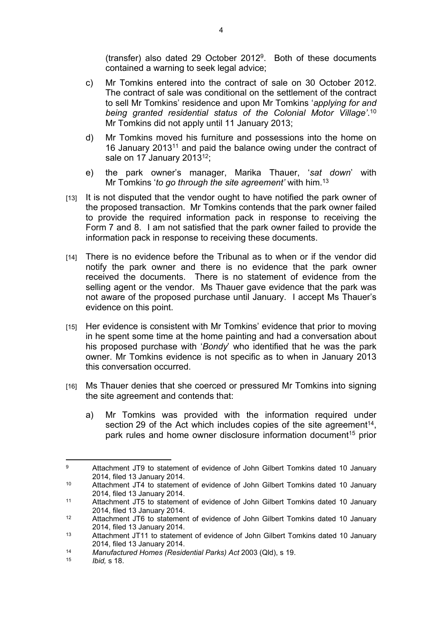(transfer) also dated 29 October 2012<sup>9</sup> . Both of these documents contained a warning to seek legal advice;

- c) Mr Tomkins entered into the contract of sale on 30 October 2012. The contract of sale was conditional on the settlement of the contract to sell Mr Tomkins' residence and upon Mr Tomkins '*applying for and being granted residential status of the Colonial Motor Village'*. 10 Mr Tomkins did not apply until 11 January 2013;
- d) Mr Tomkins moved his furniture and possessions into the home on 16 January 2013<sup>11</sup> and paid the balance owing under the contract of sale on 17 January 2013<sup>12</sup>;
- e) the park owner's manager, Marika Thauer, '*sat down*' with Mr Tomkins '*to go through the site agreement'* with him.<sup>13</sup>
- [13] It is not disputed that the vendor ought to have notified the park owner of the proposed transaction. Mr Tomkins contends that the park owner failed to provide the required information pack in response to receiving the Form 7 and 8. I am not satisfied that the park owner failed to provide the information pack in response to receiving these documents.
- [14] There is no evidence before the Tribunal as to when or if the vendor did notify the park owner and there is no evidence that the park owner received the documents. There is no statement of evidence from the selling agent or the vendor. Ms Thauer gave evidence that the park was not aware of the proposed purchase until January. I accept Ms Thauer's evidence on this point.
- [15] Her evidence is consistent with Mr Tomkins' evidence that prior to moving in he spent some time at the home painting and had a conversation about his proposed purchase with '*Bondy*' who identified that he was the park owner. Mr Tomkins evidence is not specific as to when in January 2013 this conversation occurred.
- [16] Ms Thauer denies that she coerced or pressured Mr Tomkins into signing the site agreement and contends that:
	- a) Mr Tomkins was provided with the information required under section 29 of the Act which includes copies of the site agreement<sup>14</sup>, park rules and home owner disclosure information document<sup>15</sup> prior

 $\alpha$  Attachment JT9 to statement of evidence of John Gilbert Tomkins dated 10 January 2014, filed 13 January 2014.

<sup>10</sup> Attachment JT4 to statement of evidence of John Gilbert Tomkins dated 10 January 2014, filed 13 January 2014.

<sup>11</sup> Attachment JT5 to statement of evidence of John Gilbert Tomkins dated 10 January 2014, filed 13 January 2014.

<sup>12</sup> Attachment JT6 to statement of evidence of John Gilbert Tomkins dated 10 January 2014, filed 13 January 2014.

<sup>13</sup> Attachment JT11 to statement of evidence of John Gilbert Tomkins dated 10 January 2014, filed 13 January 2014.

<sup>14</sup> *Manufactured Homes (Residential Parks) Act* 2003 (Qld), s 19.

*Ibid.* s 18.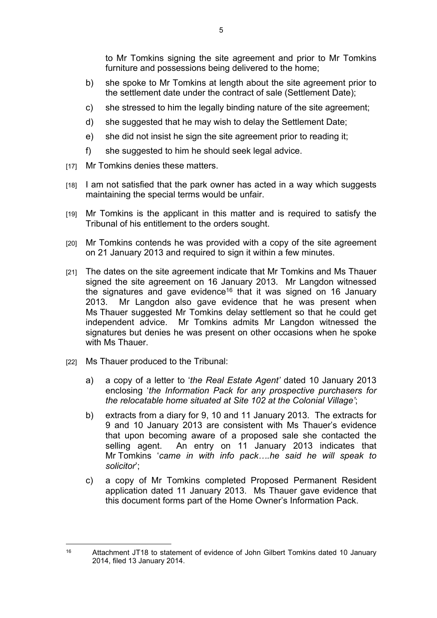to Mr Tomkins signing the site agreement and prior to Mr Tomkins furniture and possessions being delivered to the home;

- b) she spoke to Mr Tomkins at length about the site agreement prior to the settlement date under the contract of sale (Settlement Date);
- c) she stressed to him the legally binding nature of the site agreement;
- d) she suggested that he may wish to delay the Settlement Date;
- e) she did not insist he sign the site agreement prior to reading it;
- f) she suggested to him he should seek legal advice.
- [17] Mr Tomkins denies these matters.
- [18] I am not satisfied that the park owner has acted in a way which suggests maintaining the special terms would be unfair.
- [19] Mr Tomkins is the applicant in this matter and is required to satisfy the Tribunal of his entitlement to the orders sought.
- [20] Mr Tomkins contends he was provided with a copy of the site agreement on 21 January 2013 and required to sign it within a few minutes.
- [21] The dates on the site agreement indicate that Mr Tomkins and Ms Thauer signed the site agreement on 16 January 2013. Mr Langdon witnessed the signatures and gave evidence<sup>16</sup> that it was signed on 16 January 2013. Mr Langdon also gave evidence that he was present when Ms Thauer suggested Mr Tomkins delay settlement so that he could get independent advice. Mr Tomkins admits Mr Langdon witnessed the signatures but denies he was present on other occasions when he spoke with Ms Thauer.
- [22] Ms Thauer produced to the Tribunal:
	- a) a copy of a letter to '*the Real Estate Agent'* dated 10 January 2013 enclosing '*the Information Pack for any prospective purchasers for the relocatable home situated at Site 102 at the Colonial Village'*;
	- b) extracts from a diary for 9, 10 and 11 January 2013. The extracts for 9 and 10 January 2013 are consistent with Ms Thauer's evidence that upon becoming aware of a proposed sale she contacted the selling agent. An entry on 11 January 2013 indicates that Mr Tomkins '*came in with info pack….he said he will speak to solicitor*';
	- c) a copy of Mr Tomkins completed Proposed Permanent Resident application dated 11 January 2013. Ms Thauer gave evidence that this document forms part of the Home Owner's Information Pack.

<sup>16</sup> Attachment JT18 to statement of evidence of John Gilbert Tomkins dated 10 January 2014, filed 13 January 2014.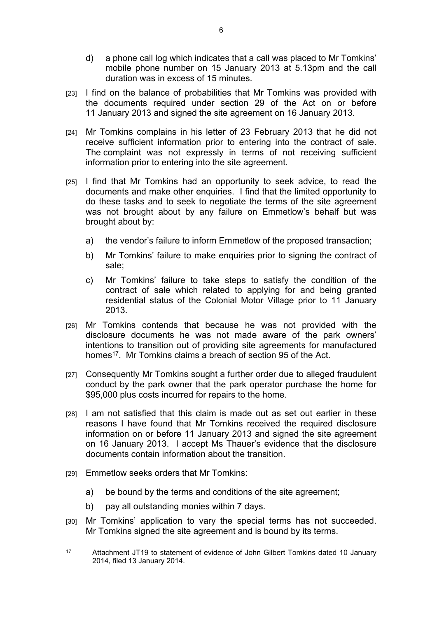- d) a phone call log which indicates that a call was placed to Mr Tomkins' mobile phone number on 15 January 2013 at 5.13pm and the call duration was in excess of 15 minutes.
- [23] I find on the balance of probabilities that Mr Tomkins was provided with the documents required under section 29 of the Act on or before 11 January 2013 and signed the site agreement on 16 January 2013.
- [24] Mr Tomkins complains in his letter of 23 February 2013 that he did not receive sufficient information prior to entering into the contract of sale. The complaint was not expressly in terms of not receiving sufficient information prior to entering into the site agreement.
- [25] I find that Mr Tomkins had an opportunity to seek advice, to read the documents and make other enquiries. I find that the limited opportunity to do these tasks and to seek to negotiate the terms of the site agreement was not brought about by any failure on Emmetlow's behalf but was brought about by:
	- a) the vendor's failure to inform Emmetlow of the proposed transaction;
	- b) Mr Tomkins' failure to make enquiries prior to signing the contract of sale;
	- c) Mr Tomkins' failure to take steps to satisfy the condition of the contract of sale which related to applying for and being granted residential status of the Colonial Motor Village prior to 11 January 2013.
- [26] Mr Tomkins contends that because he was not provided with the disclosure documents he was not made aware of the park owners' intentions to transition out of providing site agreements for manufactured homes<sup>17</sup>. Mr Tomkins claims a breach of section 95 of the Act.
- [27] Consequently Mr Tomkins sought a further order due to alleged fraudulent conduct by the park owner that the park operator purchase the home for \$95,000 plus costs incurred for repairs to the home.
- [28] I am not satisfied that this claim is made out as set out earlier in these reasons I have found that Mr Tomkins received the required disclosure information on or before 11 January 2013 and signed the site agreement on 16 January 2013. I accept Ms Thauer's evidence that the disclosure documents contain information about the transition.
- [29] Emmetlow seeks orders that Mr Tomkins:
	- a) be bound by the terms and conditions of the site agreement;
	- b) pay all outstanding monies within 7 days.
- [30] Mr Tomkins' application to vary the special terms has not succeeded. Mr Tomkins signed the site agreement and is bound by its terms.

<sup>17</sup> Attachment JT19 to statement of evidence of John Gilbert Tomkins dated 10 January 2014, filed 13 January 2014.